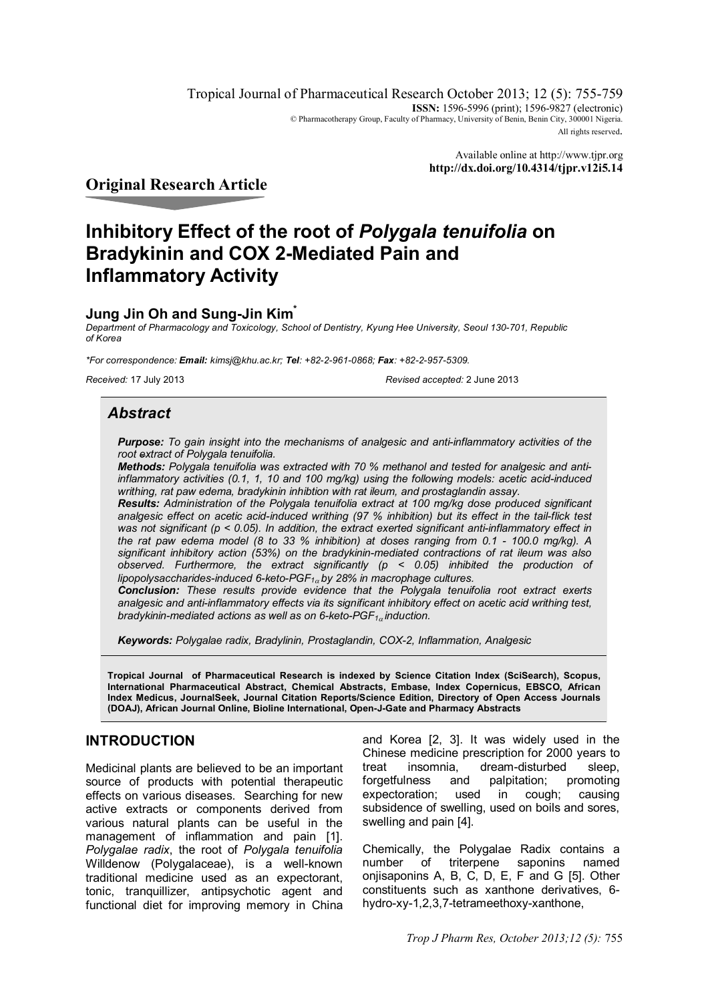Tropical Journal of Pharmaceutical Research October 2013; 12 (5): 755-759 **ISSN:** 1596-5996 (print): 1596-9827 (electronic) © Pharmacotherapy Group, Faculty of Pharmacy, University of Benin, Benin City, 300001 Nigeria. All rights reserved.

> Available online at http://www.tjpr.org **http://dx.doi.org/10.4314/tjpr.v12i5.14**

**Original Research Article**

# **Inhibitory Effect of the root of** *Polygala tenuifolia* **on Bradykinin and COX 2-Mediated Pain and Inflammatory Activity**

## **Jung Jin Oh and Sung-Jin Kim\***

*Department of Pharmacology and Toxicology, School of Dentistry, Kyung Hee University, Seoul 130-701, Republic of Korea*

*\*For correspondence: Email: kimsj@khu.ac.kr; Tel: +82-2-961-0868; Fax: +82-2-957-5309.*

*Received:* 17 July 2013 *Revised accepted:* 2 June 2013

# *Abstract*

*Purpose: To gain insight into the mechanisms of analgesic and anti-inflammatory activities of the root extract of Polygala tenuifolia.* 

*Methods: Polygala tenuifolia was extracted with 70 % methanol and tested for analgesic and antiinflammatory activities (0.1, 1, 10 and 100 mg/kg) using the following models: acetic acid-induced writhing, rat paw edema, bradykinin inhibtion with rat ileum, and prostaglandin assay.* 

*Results: Administration of the Polygala tenuifolia extract at 100 mg/kg dose produced significant analgesic effect on acetic acid-induced writhing (97 % inhibition) but its effect in the tail-flick test was not significant (p < 0.05). In addition, the extract exerted significant anti-inflammatory effect in the rat paw edema model (8 to 33 % inhibition) at doses ranging from 0.1 - 100.0 mg/kg). A significant inhibitory action (53%) on the bradykinin-mediated contractions of rat ileum was also observed. Furthermore, the extract significantly (p < 0.05) inhibited the production of lipopolysaccharides-induced 6-keto-PGF<sup>1</sup> by 28% in macrophage cultures.* 

*Conclusion: These results provide evidence that the Polygala tenuifolia root extract exerts analgesic and anti-inflammatory effects via its significant inhibitory effect on acetic acid writhing test, bradykinin-mediated actions as well as on 6-keto-PGF<sup>1</sup> induction.*

*Keywords: Polygalae radix, Bradylinin, Prostaglandin, COX-2, Inflammation, Analgesic*

**Tropical Journal of Pharmaceutical Research is indexed by Science Citation Index (SciSearch), Scopus, International Pharmaceutical Abstract, Chemical Abstracts, Embase, Index Copernicus, EBSCO, African Index Medicus, JournalSeek, Journal Citation Reports/Science Edition, Directory of Open Access Journals (DOAJ), African Journal Online, Bioline International, Open-J-Gate and Pharmacy Abstracts**

# **INTRODUCTION**

Medicinal plants are believed to be an important source of products with potential therapeutic effects on various diseases. Searching for new active extracts or components derived from various natural plants can be useful in the management of inflammation and pain [1]. *Polygalae radix*, the root of *Polygala tenuifolia* Willdenow (Polygalaceae), is a well-known traditional medicine used as an expectorant, tonic, tranquillizer, antipsychotic agent and functional diet for improving memory in China

and Korea [2, 3]. It was widely used in the Chinese medicine prescription for 2000 years to treat insomnia, dream-disturbed sleep,<br>forgetfulness and palpitation; promoting forgetfulness and palpitation; promoting expectoration; used in cough; causing subsidence of swelling, used on boils and sores, swelling and pain [4].

Chemically, the Polygalae Radix contains a number of triterpene saponins onjisaponins A, B, C, D, E, F and G [5]. Other constituents such as xanthone derivatives, 6 hydro-xy-1,2,3,7-tetrameethoxy-xanthone,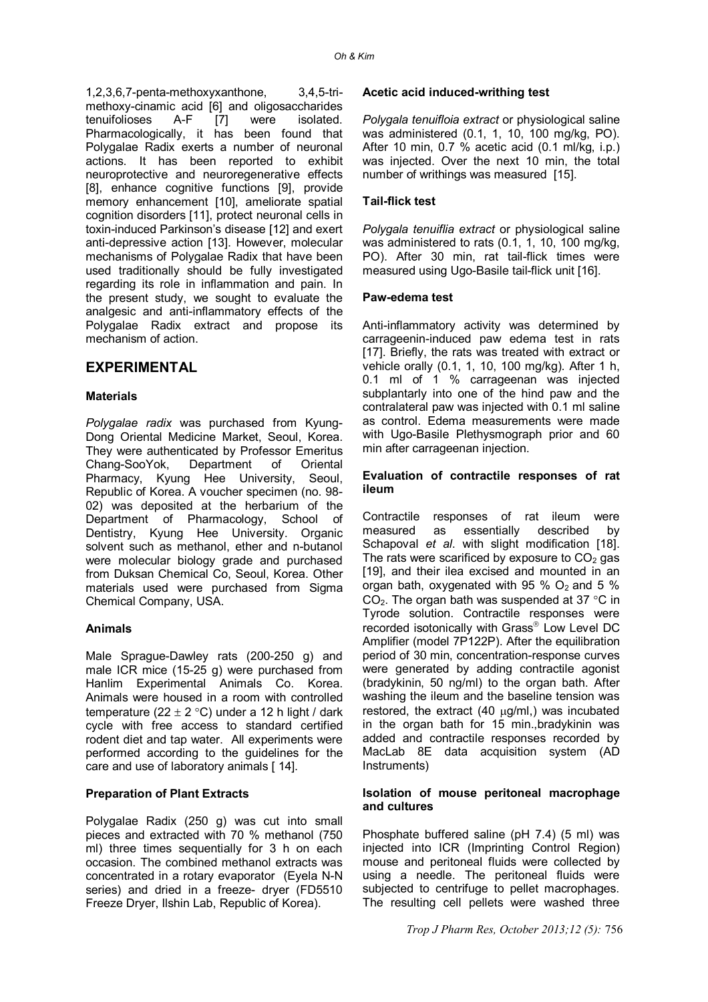1,2,3,6,7-penta-methoxyxanthone, 3,4,5-trimethoxy-cinamic acid [6] and oligosaccharides tenuifolioses A-F [7] were isolated. Pharmacologically, it has been found that Polygalae Radix exerts a number of neuronal actions. It has been reported to exhibit neuroprotective and neuroregenerative effects [8], enhance cognitive functions [9], provide memory enhancement [10], ameliorate spatial cognition disorders [11], protect neuronal cells in toxin-induced Parkinson's disease [12] and exert anti-depressive action [13]. However, molecular mechanisms of Polygalae Radix that have been used traditionally should be fully investigated regarding its role in inflammation and pain. In the present study, we sought to evaluate the analgesic and anti-inflammatory effects of the Polygalae Radix extract and propose its mechanism of action.

## **EXPERIMENTAL**

## **Materials**

*Polygalae radix* was purchased from Kyung-Dong Oriental Medicine Market, Seoul, Korea. They were authenticated by Professor Emeritus<br>Chang-SooYok. Department of Oriental Chang-SooYok, Department of Oriental Pharmacy, Kyung Hee University, Seoul, Republic of Korea. A voucher specimen (no. 98- 02) was deposited at the herbarium of the Department of Pharmacology, School of Dentistry, Kyung Hee University. Organic solvent such as methanol, ether and n-butanol were molecular biology grade and purchased from Duksan Chemical Co, Seoul, Korea. Other materials used were purchased from Sigma Chemical Company, USA.

## **Animals**

Male Sprague-Dawley rats (200-250 g) and male ICR mice (15-25 g) were purchased from Hanlim Experimental Animals Co. Korea. Animals were housed in a room with controlled temperature (22  $\pm$  2 °C) under a 12 h light / dark cycle with free access to standard certified rodent diet and tap water. All experiments were performed according to the guidelines for the care and use of laboratory animals [ 14].

#### **Preparation of Plant Extracts**

Polygalae Radix (250 g) was cut into small pieces and extracted with 70 % methanol (750 ml) three times sequentially for 3 h on each occasion. The combined methanol extracts was concentrated in a rotary evaporator (Eyela N-N series) and dried in a freeze- dryer (FD5510 Freeze Dryer, Ilshin Lab, Republic of Korea).

#### **Acetic acid induced-writhing test**

*Polygala tenuifloia extract* or physiological saline was administered (0.1, 1, 10, 100 mg/kg, PO). After 10 min, 0.7 % acetic acid (0.1 ml/kg, i.p.) was injected. Over the next 10 min, the total number of writhings was measured [15].

## **Tail-flick test**

*Polygala tenuiflia extract* or physiological saline was administered to rats (0.1, 1, 10, 100 mg/kg, PO). After 30 min, rat tail-flick times were measured using Ugo-Basile tail-flick unit [16].

#### **Paw-edema test**

Anti-inflammatory activity was determined by carrageenin-induced paw edema test in rats [17]. Briefly, the rats was treated with extract or vehicle orally (0.1, 1, 10, 100 mg/kg). After 1 h, 0.1 ml of 1 % carrageenan was injected subplantarly into one of the hind paw and the contralateral paw was injected with 0.1 ml saline as control. Edema measurements were made with Ugo-Basile Plethysmograph prior and 60 min after carrageenan injection.

#### **Evaluation of contractile responses of rat ileum**

Contractile responses of rat ileum were measured as essentially described by Schapoval *et al*. with slight modification [18]. The rats were scarificed by exposure to  $CO<sub>2</sub>$  gas [19], and their ilea excised and mounted in an organ bath, oxygenated with 95 %  $O<sub>2</sub>$  and 5 %  $CO<sub>2</sub>$ . The organ bath was suspended at 37 °C in Tyrode solution. Contractile responses were recorded isotonically with Grass Low Level DC Amplifier (model 7P122P). After the equilibration period of 30 min, concentration-response curves were generated by adding contractile agonist (bradykinin, 50 ng/ml) to the organ bath. After washing the ileum and the baseline tension was restored, the extract  $(40 \text{ µg/ml})$  was incubated in the organ bath for 15 min.,bradykinin was added and contractile responses recorded by MacLab 8E data acquisition system (AD Instruments)

#### **Isolation of mouse peritoneal macrophage and cultures**

Phosphate buffered saline (pH 7.4) (5 ml) was injected into ICR (Imprinting Control Region) mouse and peritoneal fluids were collected by using a needle. The peritoneal fluids were subjected to centrifuge to pellet macrophages. The resulting cell pellets were washed three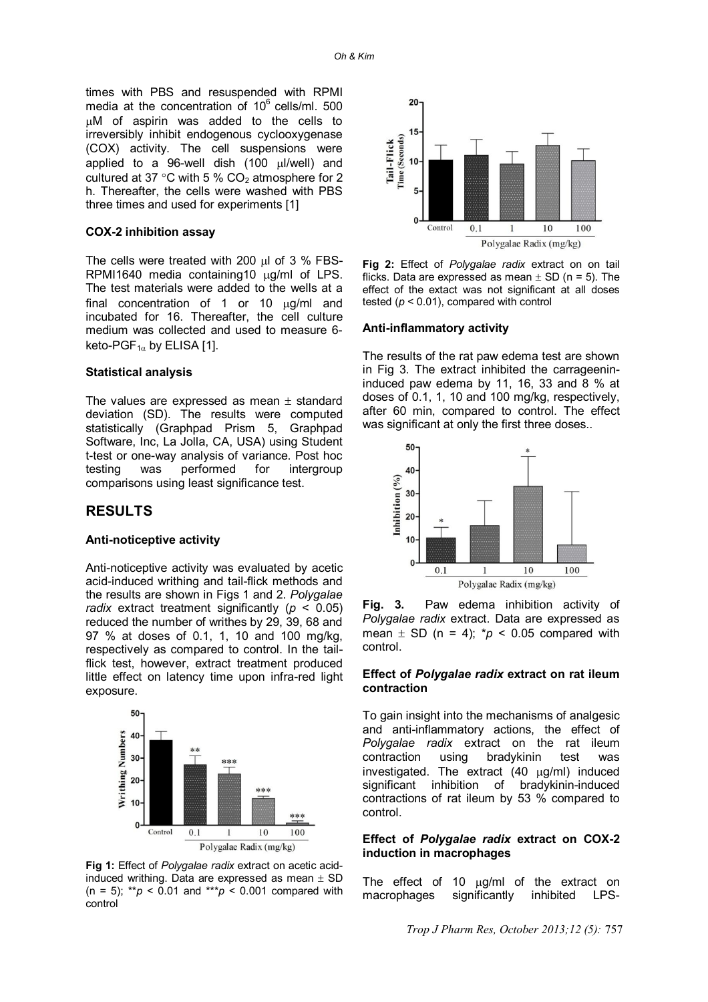times with PBS and resuspended with RPMI media at the concentration of  $10^6$  cells/ml. 500 M of aspirin was added to the cells to irreversibly inhibit endogenous cyclooxygenase (COX) activity. The cell suspensions were applied to a 96-well dish  $(100 \mu l/well)$  and cultured at 37 °C with 5 %  $CO<sub>2</sub>$  atmosphere for 2 h. Thereafter, the cells were washed with PBS three times and used for experiments [1]

#### **COX-2 inhibition assay**

The cells were treated with 200  $\mu$ l of 3 % FBS-RPMI1640 media containing10  $\mu$ g/ml of LPS. The test materials were added to the wells at a final concentration of 1 or 10  $\mu$ g/ml and incubated for 16. Thereafter, the cell culture medium was collected and used to measure 6 keto-PGF $_{1\alpha}$  by ELISA [1].

#### **Statistical analysis**

The values are expressed as mean  $\pm$  standard deviation (SD). The results were computed statistically (Graphpad Prism 5, Graphpad Software, Inc, La Jolla, CA, USA) using Student t-test or one-way analysis of variance. Post hoc testing was performed for intergroup comparisons using least significance test.

## **RESULTS**

#### **Anti-noticeptive activity**

Anti-noticeptive activity was evaluated by acetic acid-induced writhing and tail-flick methods and the results are shown in Figs 1 and 2. *Polygalae radix* extract treatment significantly ( $p < 0.05$ ) reduced the number of writhes by 29, 39, 68 and 97 % at doses of 0.1, 1, 10 and 100 mg/kg, respectively as compared to control. In the tailflick test, however, extract treatment produced little effect on latency time upon infra-red light exposure.



**Fig 1:** Effect of *Polygalae radix* extract on acetic acidinduced writhing. Data are expressed as mean  $\pm$  SD (n = 5);  $* p < 0.01$  and  $** p < 0.001$  compared with control



**Fig 2:** Effect of *Polygalae radix* extract on on tail flicks. Data are expressed as mean  $\pm$  SD (n = 5). The effect of the extact was not significant at all doses tested  $(p < 0.01)$ , compared with control

#### **Anti-inflammatory activity**

The results of the rat paw edema test are shown in Fig 3. The extract inhibited the carrageenininduced paw edema by 11, 16, 33 and 8 % at doses of 0.1, 1, 10 and 100 mg/kg, respectively, after 60 min, compared to control. The effect was significant at only the first three doses..



**Fig. 3.** Paw edema inhibition activity of *Polygalae radix* extract. Data are expressed as mean  $\pm$  SD (n = 4);  $\pi p$  < 0.05 compared with control.

#### **Effect of** *Polygalae radix* **extract on rat ileum contraction**

To gain insight into the mechanisms of analgesic and anti-inflammatory actions, the effect of *Polygalae radix* extract on the rat ileum contraction using bradykinin test was investigated. The extract  $(40 \mu g/ml)$  induced significant inhibition of bradykinin-induced contractions of rat ileum by 53 % compared to control.

#### **Effect of** *Polygalae radix* **extract on COX-2 induction in macrophages**

The effect of 10  $\mu q/ml$  of the extract on macrophages significantly inhibited LPS-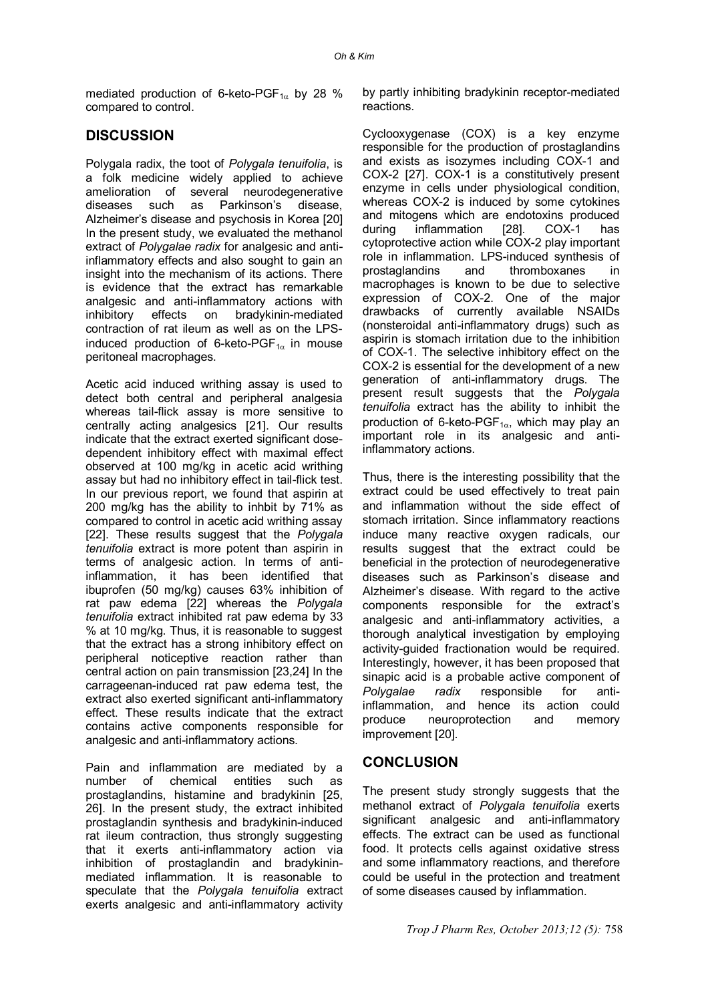mediated production of 6-keto-PGF $_{1\alpha}$  by 28 % compared to control.

# **DISCUSSION**

Polygala radix, the toot of *Polygala tenuifolia*, is a folk medicine widely applied to achieve amelioration of several neurodegenerative diseases such as Parkinson's disease, Alzheimer's disease and psychosis in Korea [20] In the present study, we evaluated the methanol extract of *Polygalae radix* for analgesic and antiinflammatory effects and also sought to gain an insight into the mechanism of its actions. There is evidence that the extract has remarkable analgesic and anti-inflammatory actions with inhibitory effects on bradykinin-mediated contraction of rat ileum as well as on the LPSinduced production of 6-keto-PGF $_{1\alpha}$  in mouse peritoneal macrophages.

Acetic acid induced writhing assay is used to detect both central and peripheral analgesia whereas tail-flick assay is more sensitive to centrally acting analgesics [21]. Our results indicate that the extract exerted significant dosedependent inhibitory effect with maximal effect observed at 100 mg/kg in acetic acid writhing assay but had no inhibitory effect in tail-flick test. In our previous report, we found that aspirin at 200 mg/kg has the ability to inhbit by 71% as compared to control in acetic acid writhing assay [22]. These results suggest that the *Polygala tenuifolia* extract is more potent than aspirin in terms of analgesic action. In terms of antiinflammation, it has been identified that ibuprofen (50 mg/kg) causes 63% inhibition of rat paw edema [22] whereas the *Polygala tenuifolia* extract inhibited rat paw edema by 33 % at 10 mg/kg. Thus, it is reasonable to suggest that the extract has a strong inhibitory effect on peripheral noticeptive reaction rather than central action on pain transmission [23,24] In the carrageenan-induced rat paw edema test, the extract also exerted significant anti-inflammatory effect. These results indicate that the extract contains active components responsible for analgesic and anti-inflammatory actions.

Pain and inflammation are mediated by a number of chemical entities such as prostaglandins, histamine and bradykinin [25, 26]. In the present study, the extract inhibited prostaglandin synthesis and bradykinin-induced rat ileum contraction, thus strongly suggesting that it exerts anti-inflammatory action via inhibition of prostaglandin and bradykininmediated inflammation. It is reasonable to speculate that the *Polygala tenuifolia* extract exerts analgesic and anti-inflammatory activity by partly inhibiting bradykinin receptor-mediated reactions.

Cyclooxygenase (COX) is a key enzyme responsible for the production of prostaglandins and exists as isozymes including COX-1 and COX-2 [27]. COX-1 is a constitutively present enzyme in cells under physiological condition, whereas COX-2 is induced by some cytokines and mitogens which are endotoxins produced during inflammation [28]. COX-1 has cytoprotective action while COX-2 play important role in inflammation. LPS-induced synthesis of prostaglandins and thromboxanes in macrophages is known to be due to selective expression of COX-2. One of the major drawbacks of currently available NSAIDs (nonsteroidal anti-inflammatory drugs) such as aspirin is stomach irritation due to the inhibition of COX-1. The selective inhibitory effect on the COX-2 is essential for the development of a new generation of anti-inflammatory drugs. The present result suggests that the *Polygala tenuifolia* extract has the ability to inhibit the production of 6-keto-PGF $_{1\alpha}$ , which may play an important role in its analgesic and antiinflammatory actions.

Thus, there is the interesting possibility that the extract could be used effectively to treat pain and inflammation without the side effect of stomach irritation. Since inflammatory reactions induce many reactive oxygen radicals, our results suggest that the extract could be beneficial in the protection of neurodegenerative diseases such as Parkinson's disease and Alzheimer's disease. With regard to the active components responsible for the extract's analgesic and anti-inflammatory activities, a thorough analytical investigation by employing activity-guided fractionation would be required. Interestingly, however, it has been proposed that sinapic acid is a probable active component of *Polygalae radix* responsible for antiinflammation, and hence its action could produce neuroprotection and memory improvement [20].

## **CONCLUSION**

The present study strongly suggests that the methanol extract of *Polygala tenuifolia* exerts significant analgesic and anti-inflammatory effects. The extract can be used as functional food. It protects cells against oxidative stress and some inflammatory reactions, and therefore could be useful in the protection and treatment of some diseases caused by inflammation.